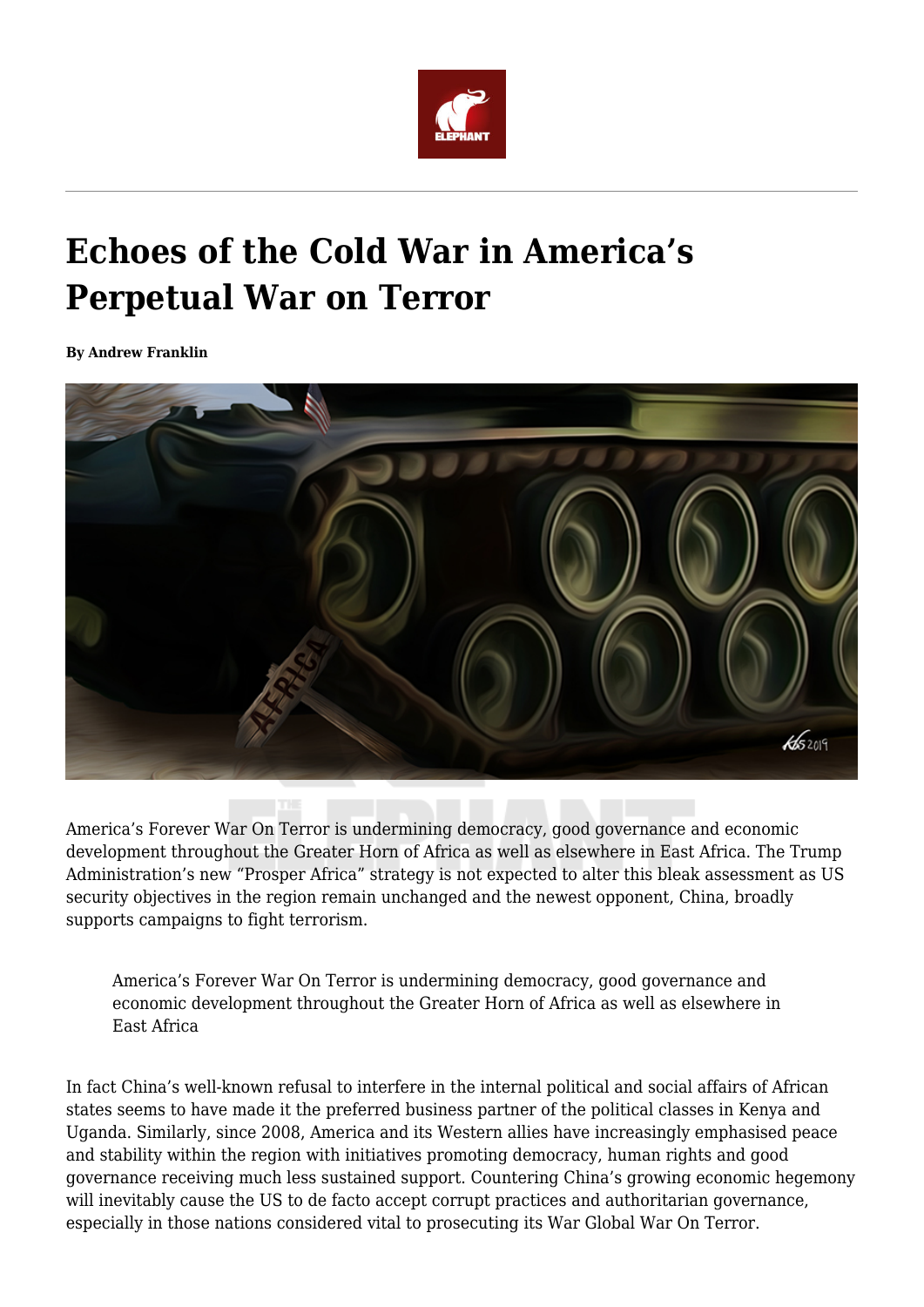

## **Echoes of the Cold War in America's Perpetual War on Terror**

**By Andrew Franklin**



America's Forever War On Terror is undermining democracy, good governance and economic development throughout the Greater Horn of Africa as well as elsewhere in East Africa. The Trump Administration's new "Prosper Africa" strategy is not expected to alter this bleak assessment as US security objectives in the region remain unchanged and the newest opponent, China, broadly supports campaigns to fight terrorism.

America's Forever War On Terror is undermining democracy, good governance and economic development throughout the Greater Horn of Africa as well as elsewhere in East Africa

In fact China's well-known refusal to interfere in the internal political and social affairs of African states seems to have made it the preferred business partner of the political classes in Kenya and Uganda. Similarly, since 2008, America and its Western allies have increasingly emphasised peace and stability within the region with initiatives promoting democracy, human rights and good governance receiving much less sustained support. Countering China's growing economic hegemony will inevitably cause the US to de facto accept corrupt practices and authoritarian governance, especially in those nations considered vital to prosecuting its War Global War On Terror.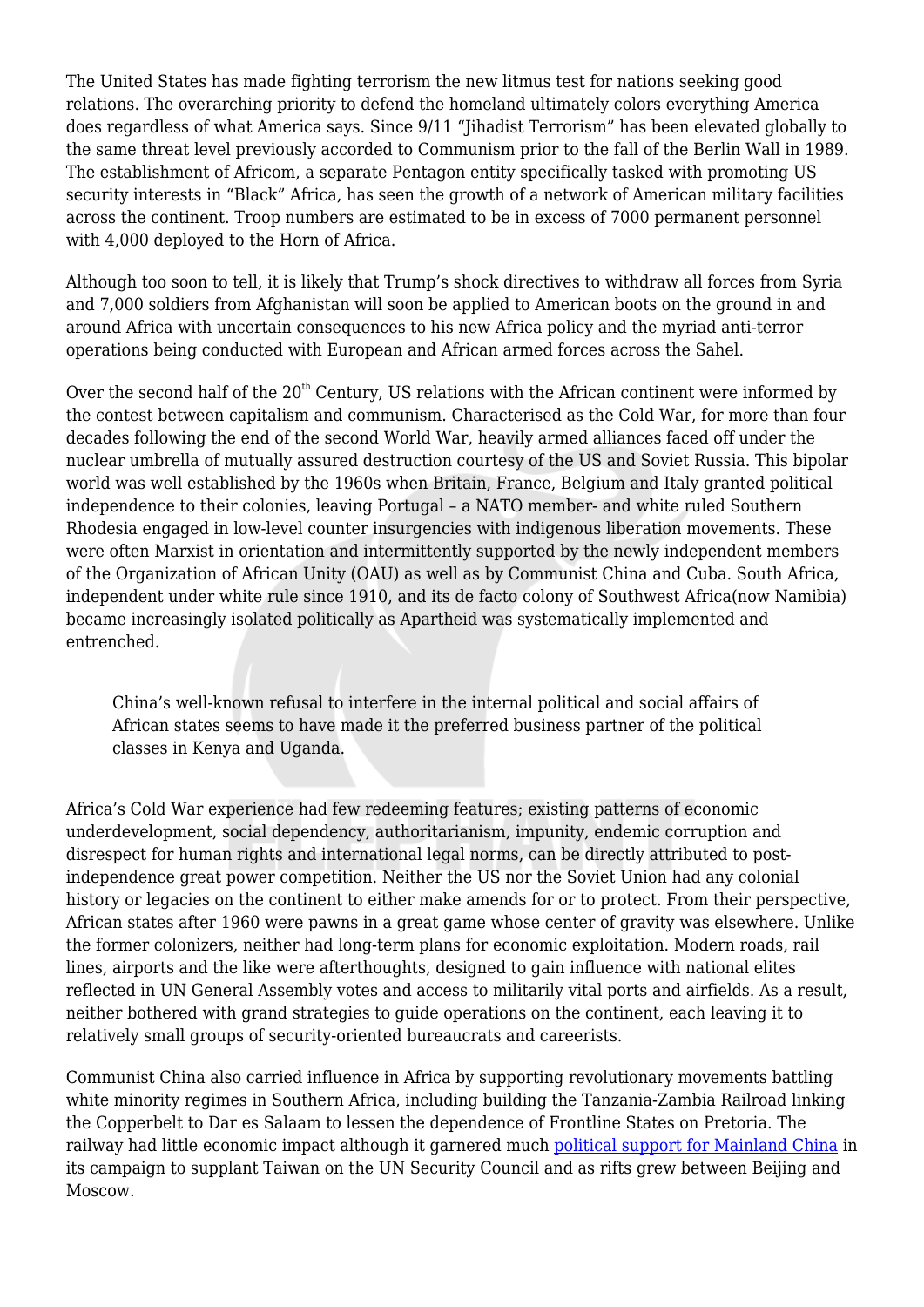The United States has made fighting terrorism the new litmus test for nations seeking good relations. The overarching priority to defend the homeland ultimately colors everything America does regardless of what America says. Since 9/11 "Jihadist Terrorism" has been elevated globally to the same threat level previously accorded to Communism prior to the fall of the Berlin Wall in 1989. The establishment of Africom, a separate Pentagon entity specifically tasked with promoting US security interests in "Black" Africa, has seen the growth of a network of American military facilities across the continent. Troop numbers are estimated to be in excess of 7000 permanent personnel with 4,000 deployed to the Horn of Africa.

Although too soon to tell, it is likely that Trump's shock directives to withdraw all forces from Syria and 7,000 soldiers from Afghanistan will soon be applied to American boots on the ground in and around Africa with uncertain consequences to his new Africa policy and the myriad anti-terror operations being conducted with European and African armed forces across the Sahel.

Over the second half of the  $20<sup>th</sup>$  Century, US relations with the African continent were informed by the contest between capitalism and communism. Characterised as the Cold War, for more than four decades following the end of the second World War, heavily armed alliances faced off under the nuclear umbrella of mutually assured destruction courtesy of the US and Soviet Russia. This bipolar world was well established by the 1960s when Britain, France, Belgium and Italy granted political independence to their colonies, leaving Portugal – a NATO member- and white ruled Southern Rhodesia engaged in low-level counter insurgencies with indigenous liberation movements. These were often Marxist in orientation and intermittently supported by the newly independent members of the Organization of African Unity (OAU) as well as by Communist China and Cuba. South Africa, independent under white rule since 1910, and its de facto colony of Southwest Africa(now Namibia) became increasingly isolated politically as Apartheid was systematically implemented and entrenched.

China's well-known refusal to interfere in the internal political and social affairs of African states seems to have made it the preferred business partner of the political classes in Kenya and Uganda.

Africa's Cold War experience had few redeeming features; existing patterns of economic underdevelopment, social dependency, authoritarianism, impunity, endemic corruption and disrespect for human rights and international legal norms, can be directly attributed to postindependence great power competition. Neither the US nor the Soviet Union had any colonial history or legacies on the continent to either make amends for or to protect. From their perspective, African states after 1960 were pawns in a great game whose center of gravity was elsewhere. Unlike the former colonizers, neither had long-term plans for economic exploitation. Modern roads, rail lines, airports and the like were afterthoughts, designed to gain influence with national elites reflected in UN General Assembly votes and access to militarily vital ports and airfields. As a result, neither bothered with grand strategies to guide operations on the continent, each leaving it to relatively small groups of security-oriented bureaucrats and careerists.

Communist China also carried influence in Africa by supporting revolutionary movements battling white minority regimes in Southern Africa, including building the Tanzania-Zambia Railroad linking the Copperbelt to Dar es Salaam to lessen the dependence of Frontline States on Pretoria. The railway had little economic impact although it garnered much [political support for Mainland China](http://etheses.whiterose.ac.uk/5047/1/Colin%20Alexander.pdf) in its campaign to supplant Taiwan on the UN Security Council and as rifts grew between Beijing and Moscow.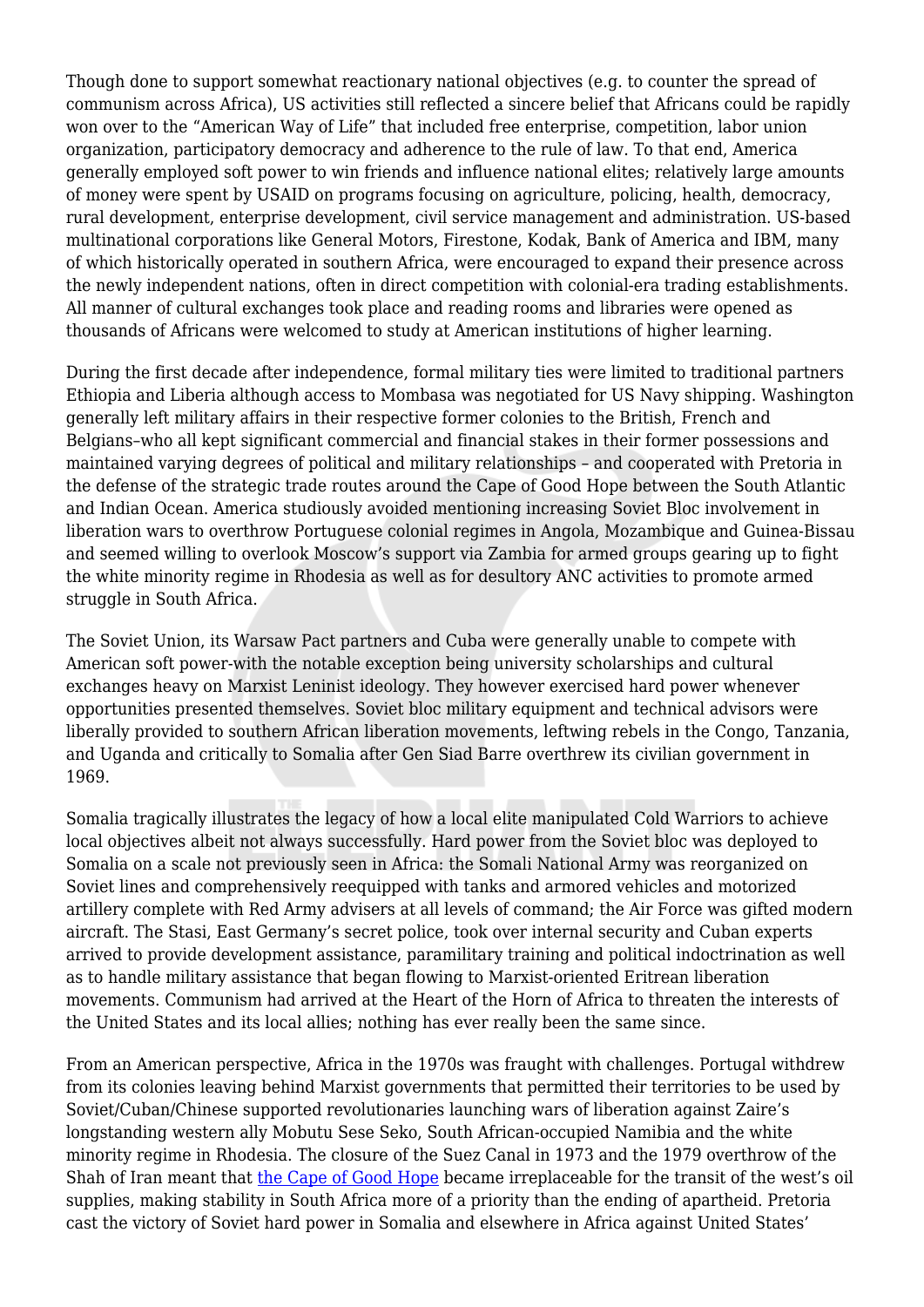Though done to support somewhat reactionary national objectives (e.g. to counter the spread of communism across Africa), US activities still reflected a sincere belief that Africans could be rapidly won over to the "American Way of Life" that included free enterprise, competition, labor union organization, participatory democracy and adherence to the rule of law. To that end, America generally employed soft power to win friends and influence national elites; relatively large amounts of money were spent by USAID on programs focusing on agriculture, policing, health, democracy, rural development, enterprise development, civil service management and administration. US-based multinational corporations like General Motors, Firestone, Kodak, Bank of America and IBM, many of which historically operated in southern Africa, were encouraged to expand their presence across the newly independent nations, often in direct competition with colonial-era trading establishments. All manner of cultural exchanges took place and reading rooms and libraries were opened as thousands of Africans were welcomed to study at American institutions of higher learning.

During the first decade after independence, formal military ties were limited to traditional partners Ethiopia and Liberia although access to Mombasa was negotiated for US Navy shipping. Washington generally left military affairs in their respective former colonies to the British, French and Belgians–who all kept significant commercial and financial stakes in their former possessions and maintained varying degrees of political and military relationships – and cooperated with Pretoria in the defense of the strategic trade routes around the Cape of Good Hope between the South Atlantic and Indian Ocean. America studiously avoided mentioning increasing Soviet Bloc involvement in liberation wars to overthrow Portuguese colonial regimes in Angola, Mozambique and Guinea-Bissau and seemed willing to overlook Moscow's support via Zambia for armed groups gearing up to fight the white minority regime in Rhodesia as well as for desultory ANC activities to promote armed struggle in South Africa.

The Soviet Union, its Warsaw Pact partners and Cuba were generally unable to compete with American soft power-with the notable exception being university scholarships and cultural exchanges heavy on Marxist Leninist ideology. They however exercised hard power whenever opportunities presented themselves. Soviet bloc military equipment and technical advisors were liberally provided to southern African liberation movements, leftwing rebels in the Congo, Tanzania, and Uganda and critically to Somalia after Gen Siad Barre overthrew its civilian government in 1969.

Somalia tragically illustrates the legacy of how a local elite manipulated Cold Warriors to achieve local objectives albeit not always successfully. Hard power from the Soviet bloc was deployed to Somalia on a scale not previously seen in Africa: the Somali National Army was reorganized on Soviet lines and comprehensively reequipped with tanks and armored vehicles and motorized artillery complete with Red Army advisers at all levels of command; the Air Force was gifted modern aircraft. The Stasi, East Germany's secret police, took over internal security and Cuban experts arrived to provide development assistance, paramilitary training and political indoctrination as well as to handle military assistance that began flowing to Marxist-oriented Eritrean liberation movements. Communism had arrived at the Heart of the Horn of Africa to threaten the interests of the United States and its local allies; nothing has ever really been the same since.

From an American perspective, Africa in the 1970s was fraught with challenges. Portugal withdrew from its colonies leaving behind Marxist governments that permitted their territories to be used by Soviet/Cuban/Chinese supported revolutionaries launching wars of liberation against Zaire's longstanding western ally Mobutu Sese Seko, South African-occupied Namibia and the white minority regime in Rhodesia. The closure of the Suez Canal in 1973 and the 1979 overthrow of the Shah of Iran meant that [the Cape of Good Hope](https://www.jstor.org/stable/pdf/40971797.pdf?refreqid=excelsior%3Ac06d1cd347e8212380ef59f7b3ddc9d3) became irreplaceable for the transit of the west's oil supplies, making stability in South Africa more of a priority than the ending of apartheid. Pretoria cast the victory of Soviet hard power in Somalia and elsewhere in Africa against United States'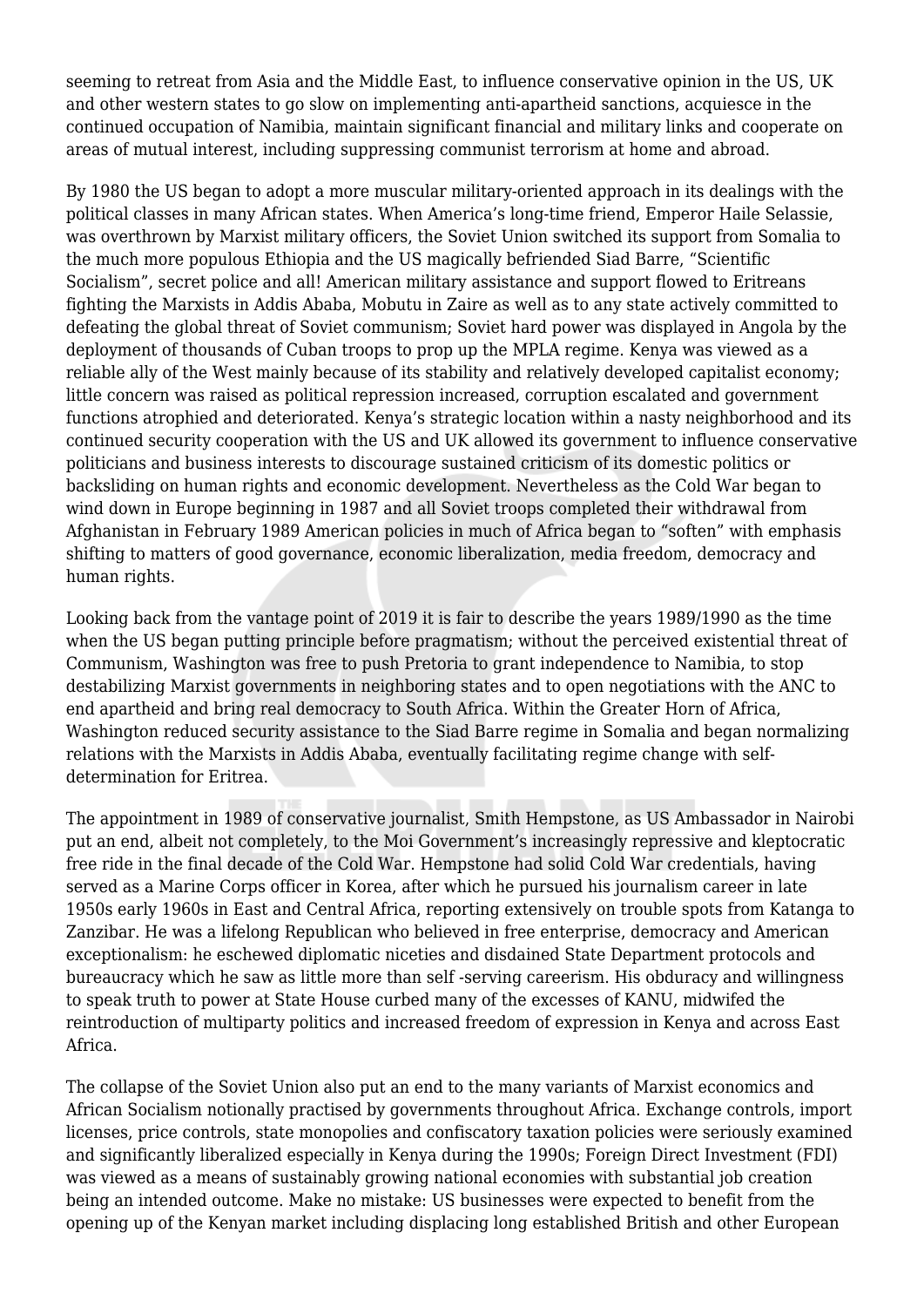seeming to retreat from Asia and the Middle East, to influence conservative opinion in the US, UK and other western states to go slow on implementing anti-apartheid sanctions, acquiesce in the continued occupation of Namibia, maintain significant financial and military links and cooperate on areas of mutual interest, including suppressing communist terrorism at home and abroad.

By 1980 the US began to adopt a more muscular military-oriented approach in its dealings with the political classes in many African states. When America's long-time friend, Emperor Haile Selassie, was overthrown by Marxist military officers, the Soviet Union switched its support from Somalia to the much more populous Ethiopia and the US magically befriended Siad Barre, "Scientific Socialism", secret police and all! American military assistance and support flowed to Eritreans fighting the Marxists in Addis Ababa, Mobutu in Zaire as well as to any state actively committed to defeating the global threat of Soviet communism; Soviet hard power was displayed in Angola by the deployment of thousands of Cuban troops to prop up the MPLA regime. Kenya was viewed as a reliable ally of the West mainly because of its stability and relatively developed capitalist economy; little concern was raised as political repression increased, corruption escalated and government functions atrophied and deteriorated. Kenya's strategic location within a nasty neighborhood and its continued security cooperation with the US and UK allowed its government to influence conservative politicians and business interests to discourage sustained criticism of its domestic politics or backsliding on human rights and economic development. Nevertheless as the Cold War began to wind down in Europe beginning in 1987 and all Soviet troops completed their withdrawal from Afghanistan in February 1989 American policies in much of Africa began to "soften" with emphasis shifting to matters of good governance, economic liberalization, media freedom, democracy and human rights.

Looking back from the vantage point of 2019 it is fair to describe the years 1989/1990 as the time when the US began putting principle before pragmatism; without the perceived existential threat of Communism, Washington was free to push Pretoria to grant independence to Namibia, to stop destabilizing Marxist governments in neighboring states and to open negotiations with the ANC to end apartheid and bring real democracy to South Africa. Within the Greater Horn of Africa, Washington reduced security assistance to the Siad Barre regime in Somalia and began normalizing relations with the Marxists in Addis Ababa, eventually facilitating regime change with selfdetermination for Eritrea.

The appointment in 1989 of conservative journalist, Smith Hempstone, as US Ambassador in Nairobi put an end, albeit not completely, to the Moi Government's increasingly repressive and kleptocratic free ride in the final decade of the Cold War. Hempstone had solid Cold War credentials, having served as a Marine Corps officer in Korea, after which he pursued his journalism career in late 1950s early 1960s in East and Central Africa, reporting extensively on trouble spots from Katanga to Zanzibar. He was a lifelong Republican who believed in free enterprise, democracy and American exceptionalism: he eschewed diplomatic niceties and disdained State Department protocols and bureaucracy which he saw as little more than self -serving careerism. His obduracy and willingness to speak truth to power at State House curbed many of the excesses of KANU, midwifed the reintroduction of multiparty politics and increased freedom of expression in Kenya and across East Africa.

The collapse of the Soviet Union also put an end to the many variants of Marxist economics and African Socialism notionally practised by governments throughout Africa. Exchange controls, import licenses, price controls, state monopolies and confiscatory taxation policies were seriously examined and significantly liberalized especially in Kenya during the 1990s; Foreign Direct Investment (FDI) was viewed as a means of sustainably growing national economies with substantial job creation being an intended outcome. Make no mistake: US businesses were expected to benefit from the opening up of the Kenyan market including displacing long established British and other European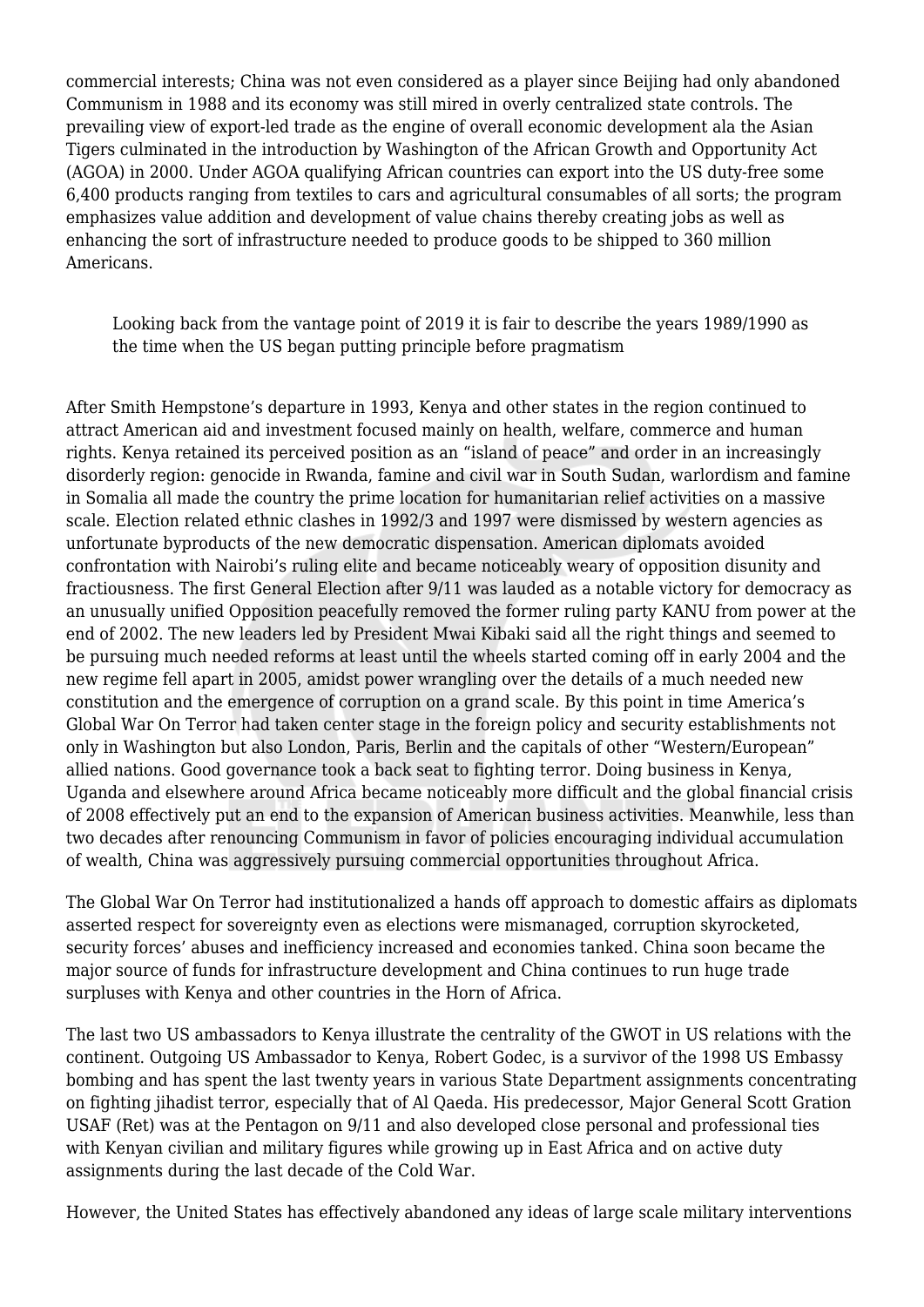commercial interests; China was not even considered as a player since Beijing had only abandoned Communism in 1988 and its economy was still mired in overly centralized state controls. The prevailing view of export-led trade as the engine of overall economic development ala the Asian Tigers culminated in the introduction by Washington of the African Growth and Opportunity Act (AGOA) in 2000. Under AGOA qualifying African countries can export into the US duty-free some 6,400 products ranging from textiles to cars and agricultural consumables of all sorts; the program emphasizes value addition and development of value chains thereby creating jobs as well as enhancing the sort of infrastructure needed to produce goods to be shipped to 360 million Americans.

Looking back from the vantage point of 2019 it is fair to describe the years 1989/1990 as the time when the US began putting principle before pragmatism

After Smith Hempstone's departure in 1993, Kenya and other states in the region continued to attract American aid and investment focused mainly on health, welfare, commerce and human rights. Kenya retained its perceived position as an "island of peace" and order in an increasingly disorderly region: genocide in Rwanda, famine and civil war in South Sudan, warlordism and famine in Somalia all made the country the prime location for humanitarian relief activities on a massive scale. Election related ethnic clashes in 1992/3 and 1997 were dismissed by western agencies as unfortunate byproducts of the new democratic dispensation. American diplomats avoided confrontation with Nairobi's ruling elite and became noticeably weary of opposition disunity and fractiousness. The first General Election after 9/11 was lauded as a notable victory for democracy as an unusually unified Opposition peacefully removed the former ruling party KANU from power at the end of 2002. The new leaders led by President Mwai Kibaki said all the right things and seemed to be pursuing much needed reforms at least until the wheels started coming off in early 2004 and the new regime fell apart in 2005, amidst power wrangling over the details of a much needed new constitution and the emergence of corruption on a grand scale. By this point in time America's Global War On Terror had taken center stage in the foreign policy and security establishments not only in Washington but also London, Paris, Berlin and the capitals of other "Western/European" allied nations. Good governance took a back seat to fighting terror. Doing business in Kenya, Uganda and elsewhere around Africa became noticeably more difficult and the global financial crisis of 2008 effectively put an end to the expansion of American business activities. Meanwhile, less than two decades after renouncing Communism in favor of policies encouraging individual accumulation of wealth, China was aggressively pursuing commercial opportunities throughout Africa.

The Global War On Terror had institutionalized a hands off approach to domestic affairs as diplomats asserted respect for sovereignty even as elections were mismanaged, corruption skyrocketed, security forces' abuses and inefficiency increased and economies tanked. China soon became the major source of funds for infrastructure development and China continues to run huge trade surpluses with Kenya and other countries in the Horn of Africa.

The last two US ambassadors to Kenya illustrate the centrality of the GWOT in US relations with the continent. Outgoing US Ambassador to Kenya, Robert Godec, is a survivor of the 1998 US Embassy bombing and has spent the last twenty years in various State Department assignments concentrating on fighting jihadist terror, especially that of Al Qaeda. His predecessor, Major General Scott Gration USAF (Ret) was at the Pentagon on 9/11 and also developed close personal and professional ties with Kenyan civilian and military figures while growing up in East Africa and on active duty assignments during the last decade of the Cold War.

However, the United States has effectively abandoned any ideas of large scale military interventions